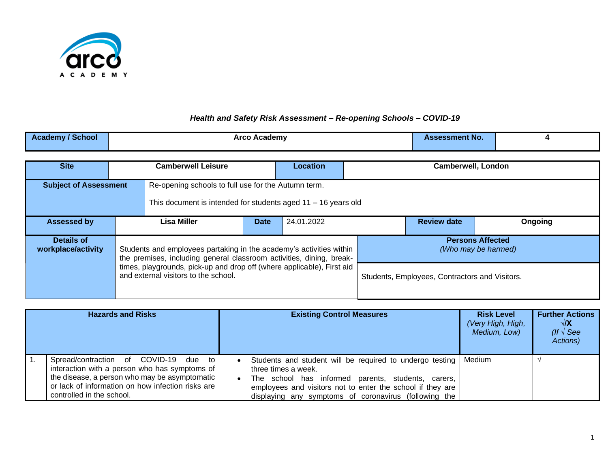

## *Health and Safety Risk Assessment – Re-opening Schools – COVID-19*

| <b>Academy / School</b>                                                                                                                                | Arco Academy                                                                                                                                |             |                 |                           | <b>Assessment No.</b>                          | 4       |  |
|--------------------------------------------------------------------------------------------------------------------------------------------------------|---------------------------------------------------------------------------------------------------------------------------------------------|-------------|-----------------|---------------------------|------------------------------------------------|---------|--|
| <b>Site</b>                                                                                                                                            | <b>Camberwell Leisure</b>                                                                                                                   |             | <b>Location</b> | <b>Camberwell, London</b> |                                                |         |  |
| <b>Subject of Assessment</b><br>Re-opening schools to full use for the Autumn term.<br>This document is intended for students aged $11 - 16$ years old |                                                                                                                                             |             |                 |                           |                                                |         |  |
| <b>Assessed by</b>                                                                                                                                     | Lisa Miller                                                                                                                                 | <b>Date</b> | 24.01.2022      |                           | <b>Review date</b>                             | Ongoing |  |
| Details of<br>workplace/activity                                                                                                                       | Students and employees partaking in the academy's activities within<br>the premises, including general classroom activities, dining, break- |             |                 |                           | <b>Persons Affected</b><br>(Who may be harmed) |         |  |
| times, playgrounds, pick-up and drop off (where applicable), First aid<br>and external visitors to the school.                                         |                                                                                                                                             |             |                 |                           | Students, Employees, Contractors and Visitors. |         |  |

| <b>Hazards and Risks</b>                                                                                                                                                                                                                            | <b>Existing Control Measures</b>                                                                                                                                                                                                                                   | <b>Risk Level</b><br>(Very High, High,<br>Medium, Low) | <b>Further Actions</b><br>√/X<br>(If $\sqrt{\text{See}}$<br>Actions) |
|-----------------------------------------------------------------------------------------------------------------------------------------------------------------------------------------------------------------------------------------------------|--------------------------------------------------------------------------------------------------------------------------------------------------------------------------------------------------------------------------------------------------------------------|--------------------------------------------------------|----------------------------------------------------------------------|
| Spread/contraction of COVID-19<br>$\overline{1}$ .<br>due<br>to<br>interaction with a person who has symptoms of<br>the disease, a person who may be asymptomatic<br>or lack of information on how infection risks are<br>controlled in the school. | Students and student will be required to undergo testing<br>three times a week.<br>school has informed parents, students,<br>The<br>carers,<br>employees and visitors not to enter the school if they are<br>displaying any symptoms of coronavirus (following the | Medium                                                 |                                                                      |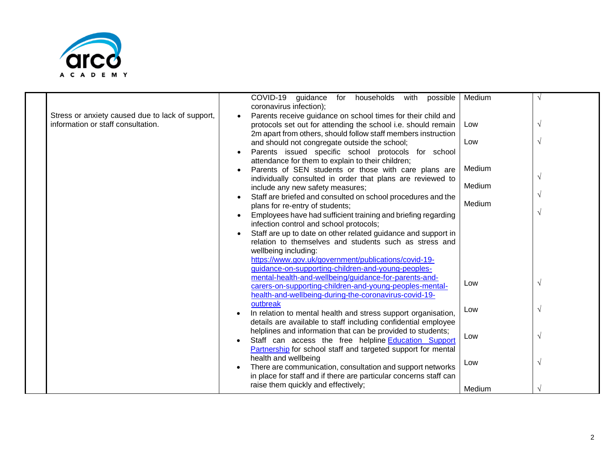

|                                                                                        | COVID-19 guidance<br>for households<br>with<br>possible<br>coronavirus infection);                                                                                                             | Medium |              |
|----------------------------------------------------------------------------------------|------------------------------------------------------------------------------------------------------------------------------------------------------------------------------------------------|--------|--------------|
| Stress or anxiety caused due to lack of support,<br>information or staff consultation. | Parents receive guidance on school times for their child and<br>protocols set out for attending the school i.e. should remain<br>2m apart from others, should follow staff members instruction | Low    |              |
|                                                                                        | and should not congregate outside the school;                                                                                                                                                  | Low    | $\sqrt{ }$   |
|                                                                                        | Parents issued specific school protocols for school<br>attendance for them to explain to their children;                                                                                       |        |              |
|                                                                                        | Parents of SEN students or those with care plans are                                                                                                                                           | Medium |              |
|                                                                                        | individually consulted in order that plans are reviewed to<br>include any new safety measures;                                                                                                 | Medium | $\sqrt{ }$   |
|                                                                                        | Staff are briefed and consulted on school procedures and the                                                                                                                                   |        | $\mathcal N$ |
|                                                                                        | plans for re-entry of students;                                                                                                                                                                | Medium | $\mathcal N$ |
|                                                                                        | Employees have had sufficient training and briefing regarding<br>infection control and school protocols;                                                                                       |        |              |
|                                                                                        | Staff are up to date on other related guidance and support in                                                                                                                                  |        |              |
|                                                                                        | relation to themselves and students such as stress and<br>wellbeing including:                                                                                                                 |        |              |
|                                                                                        | https://www.gov.uk/government/publications/covid-19-                                                                                                                                           |        |              |
|                                                                                        | guidance-on-supporting-children-and-young-peoples-<br>mental-health-and-wellbeing/guidance-for-parents-and-                                                                                    |        |              |
|                                                                                        | carers-on-supporting-children-and-young-peoples-mental-                                                                                                                                        | Low    | $\sqrt{ }$   |
|                                                                                        | health-and-wellbeing-during-the-coronavirus-covid-19-<br>outbreak                                                                                                                              |        |              |
|                                                                                        | In relation to mental health and stress support organisation,                                                                                                                                  | Low    | $\sqrt{ }$   |
|                                                                                        | details are available to staff including confidential employee<br>helplines and information that can be provided to students;                                                                  |        |              |
|                                                                                        | Staff can access the free helpline Education Support                                                                                                                                           | Low    | $\mathcal N$ |
|                                                                                        | Partnership for school staff and targeted support for mental<br>health and wellbeing                                                                                                           |        |              |
|                                                                                        | There are communication, consultation and support networks                                                                                                                                     | Low    | $\sqrt{ }$   |
|                                                                                        | in place for staff and if there are particular concerns staff can                                                                                                                              |        |              |
|                                                                                        | raise them quickly and effectively;                                                                                                                                                            | Medium |              |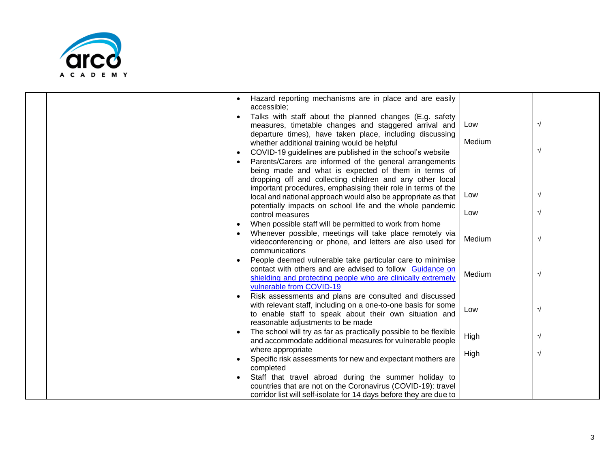

|  | $\bullet$ | Hazard reporting mechanisms are in place and are easily<br>accessible;                                                                                                                                                 |        |            |
|--|-----------|------------------------------------------------------------------------------------------------------------------------------------------------------------------------------------------------------------------------|--------|------------|
|  |           | Talks with staff about the planned changes (E.g. safety<br>measures, timetable changes and staggered arrival and                                                                                                       | Low    | $\sqrt{ }$ |
|  | $\bullet$ | departure times), have taken place, including discussing<br>whether additional training would be helpful<br>COVID-19 guidelines are published in the school's website                                                  | Medium | $\sqrt{ }$ |
|  |           | Parents/Carers are informed of the general arrangements<br>being made and what is expected of them in terms of<br>dropping off and collecting children and any other local                                             |        |            |
|  |           | important procedures, emphasising their role in terms of the<br>local and national approach would also be appropriate as that<br>potentially impacts on school life and the whole pandemic                             | Low    | $\sqrt{ }$ |
|  |           | control measures                                                                                                                                                                                                       | Low    | $\sqrt{ }$ |
|  | $\bullet$ | When possible staff will be permitted to work from home<br>Whenever possible, meetings will take place remotely via<br>videoconferencing or phone, and letters are also used for<br>communications                     | Medium | $\sqrt{ }$ |
|  |           | People deemed vulnerable take particular care to minimise<br>contact with others and are advised to follow Guidance on<br>shielding and protecting people who are clinically extremely<br>vulnerable from COVID-19     | Medium | $\sqrt{ }$ |
|  | $\bullet$ | Risk assessments and plans are consulted and discussed<br>with relevant staff, including on a one-to-one basis for some<br>to enable staff to speak about their own situation and<br>reasonable adjustments to be made | Low    | $\sqrt{ }$ |
|  | $\bullet$ | The school will try as far as practically possible to be flexible<br>and accommodate additional measures for vulnerable people                                                                                         | High   | $\sqrt{ }$ |
|  |           | where appropriate<br>Specific risk assessments for new and expectant mothers are                                                                                                                                       | High   | $\sqrt{ }$ |
|  | $\bullet$ | completed<br>Staff that travel abroad during the summer holiday to                                                                                                                                                     |        |            |
|  |           | countries that are not on the Coronavirus (COVID-19): travel<br>corridor list will self-isolate for 14 days before they are due to                                                                                     |        |            |
|  |           |                                                                                                                                                                                                                        |        |            |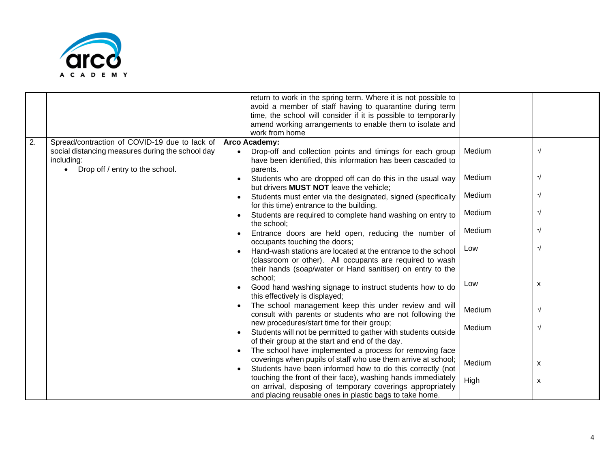

|    |                                                                | return to work in the spring term. Where it is not possible to<br>avoid a member of staff having to quarantine during term<br>time, the school will consider if it is possible to temporarily |        |            |
|----|----------------------------------------------------------------|-----------------------------------------------------------------------------------------------------------------------------------------------------------------------------------------------|--------|------------|
|    |                                                                | amend working arrangements to enable them to isolate and<br>work from home                                                                                                                    |        |            |
| 2. | Spread/contraction of COVID-19 due to lack of                  | Arco Academy:                                                                                                                                                                                 |        |            |
|    | social distancing measures during the school day<br>including: | Drop-off and collection points and timings for each group<br>have been identified, this information has been cascaded to                                                                      | Medium | $\sqrt{ }$ |
|    | Drop off / entry to the school.                                | parents.                                                                                                                                                                                      |        |            |
|    |                                                                | Students who are dropped off can do this in the usual way<br>but drivers MUST NOT leave the vehicle;                                                                                          | Medium | V          |
|    |                                                                | Students must enter via the designated, signed (specifically<br>for this time) entrance to the building.                                                                                      | Medium |            |
|    |                                                                | Students are required to complete hand washing on entry to<br>the school;                                                                                                                     | Medium |            |
|    |                                                                | Entrance doors are held open, reducing the number of<br>occupants touching the doors;                                                                                                         | Medium | V          |
|    |                                                                | Hand-wash stations are located at the entrance to the school                                                                                                                                  | Low    | $\sqrt{ }$ |
|    |                                                                | (classroom or other). All occupants are required to wash                                                                                                                                      |        |            |
|    |                                                                | their hands (soap/water or Hand sanitiser) on entry to the<br>school;                                                                                                                         |        |            |
|    |                                                                | Good hand washing signage to instruct students how to do<br>this effectively is displayed;                                                                                                    | Low    | X          |
|    |                                                                | The school management keep this under review and will<br>consult with parents or students who are not following the                                                                           | Medium | $\sqrt{ }$ |
|    |                                                                | new procedures/start time for their group;<br>Students will not be permitted to gather with students outside                                                                                  | Medium | $\sqrt{ }$ |
|    |                                                                | of their group at the start and end of the day.                                                                                                                                               |        |            |
|    |                                                                | The school have implemented a process for removing face                                                                                                                                       |        |            |
|    |                                                                | coverings when pupils of staff who use them arrive at school;                                                                                                                                 | Medium | X          |
|    |                                                                | Students have been informed how to do this correctly (not                                                                                                                                     |        |            |
|    |                                                                | touching the front of their face), washing hands immediately                                                                                                                                  | High   | X          |
|    |                                                                | on arrival, disposing of temporary coverings appropriately                                                                                                                                    |        |            |
|    |                                                                | and placing reusable ones in plastic bags to take home.                                                                                                                                       |        |            |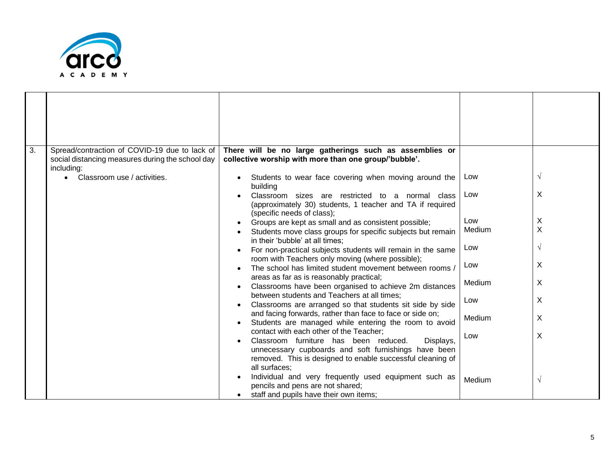

| 3. | Spread/contraction of COVID-19 due to lack of<br>social distancing measures during the school day | There will be no large gatherings such as assemblies or<br>collective worship with more than one group/'bubble'.                            |        |            |
|----|---------------------------------------------------------------------------------------------------|---------------------------------------------------------------------------------------------------------------------------------------------|--------|------------|
|    | including:<br>Classroom use / activities.                                                         | Students to wear face covering when moving around the<br>building                                                                           | Low    | $\sqrt{ }$ |
|    |                                                                                                   | Classroom sizes are restricted to a normal class<br>(approximately 30) students, 1 teacher and TA if required<br>(specific needs of class); | Low    | X          |
|    |                                                                                                   |                                                                                                                                             | Low    | X          |
|    |                                                                                                   | Groups are kept as small and as consistent possible;                                                                                        | Medium | X          |
|    |                                                                                                   | Students move class groups for specific subjects but remain                                                                                 |        |            |
|    |                                                                                                   | in their 'bubble' at all times;                                                                                                             |        |            |
|    |                                                                                                   | For non-practical subjects students will remain in the same                                                                                 | Low    | $\sqrt{ }$ |
|    |                                                                                                   | room with Teachers only moving (where possible);                                                                                            |        | X          |
|    |                                                                                                   | The school has limited student movement between rooms /                                                                                     | Low    |            |
|    |                                                                                                   | areas as far as is reasonably practical;                                                                                                    |        |            |
|    |                                                                                                   | Classrooms have been organised to achieve 2m distances                                                                                      | Medium | X          |
|    |                                                                                                   | between students and Teachers at all times;                                                                                                 |        |            |
|    |                                                                                                   | Classrooms are arranged so that students sit side by side                                                                                   | Low    | X          |
|    |                                                                                                   | and facing forwards, rather than face to face or side on;                                                                                   |        |            |
|    |                                                                                                   | Students are managed while entering the room to avoid                                                                                       | Medium | X          |
|    |                                                                                                   | contact with each other of the Teacher;                                                                                                     |        |            |
|    |                                                                                                   | Classroom furniture has been reduced.<br>Displays,                                                                                          | Low    | X          |
|    |                                                                                                   |                                                                                                                                             |        |            |
|    |                                                                                                   | unnecessary cupboards and soft furnishings have been                                                                                        |        |            |
|    |                                                                                                   | removed. This is designed to enable successful cleaning of                                                                                  |        |            |
|    |                                                                                                   | all surfaces;                                                                                                                               |        |            |
|    |                                                                                                   | Individual and very frequently used equipment such as                                                                                       | Medium | $\sqrt{ }$ |
|    |                                                                                                   | pencils and pens are not shared;                                                                                                            |        |            |
|    |                                                                                                   | staff and pupils have their own items;                                                                                                      |        |            |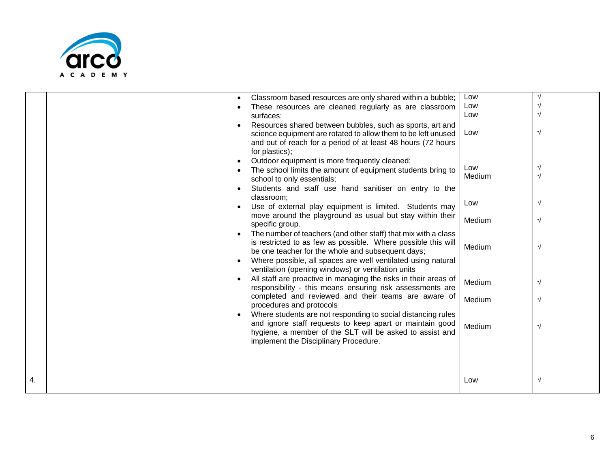

|    | Classroom based resources are only shared within a bubble;<br>These resources are cleaned regularly as are classroom<br>surfaces;<br>Resources shared between bubbles, such as sports, art and<br>science equipment are rotated to allow them to be left unused<br>and out of reach for a period of at least 48 hours (72 hours<br>for plastics);<br>Outdoor equipment is more frequently cleaned;<br>The school limits the amount of equipment students bring to<br>school to only essentials;<br>Students and staff use hand sanitiser on entry to the<br>classroom;<br>Use of external play equipment is limited. Students may<br>move around the playground as usual but stay within their<br>specific group.<br>The number of teachers (and other staff) that mix with a class<br>is restricted to as few as possible. Where possible this will<br>be one teacher for the whole and subsequent days;<br>Where possible, all spaces are well ventilated using natural<br>ventilation (opening windows) or ventilation units<br>All staff are proactive in managing the risks in their areas of<br>responsibility - this means ensuring risk assessments are<br>completed and reviewed and their teams are aware of<br>procedures and protocols<br>Where students are not responding to social distancing rules<br>and ignore staff requests to keep apart or maintain good | Low<br>Low<br>Low<br>Low<br>Low<br>Medium<br>Low<br>Medium<br>Medium<br>Medium<br>Medium | $\sqrt{ }$<br>$\mathcal{N}$<br>$\sqrt{ }$<br>$\sqrt{ }$<br>$\sqrt{ }$<br>$\sqrt{ }$<br>$\sqrt{ }$<br>$\sqrt{ }$ |
|----|--------------------------------------------------------------------------------------------------------------------------------------------------------------------------------------------------------------------------------------------------------------------------------------------------------------------------------------------------------------------------------------------------------------------------------------------------------------------------------------------------------------------------------------------------------------------------------------------------------------------------------------------------------------------------------------------------------------------------------------------------------------------------------------------------------------------------------------------------------------------------------------------------------------------------------------------------------------------------------------------------------------------------------------------------------------------------------------------------------------------------------------------------------------------------------------------------------------------------------------------------------------------------------------------------------------------------------------------------------------------------------|------------------------------------------------------------------------------------------|-----------------------------------------------------------------------------------------------------------------|
|    |                                                                                                                                                                                                                                                                                                                                                                                                                                                                                                                                                                                                                                                                                                                                                                                                                                                                                                                                                                                                                                                                                                                                                                                                                                                                                                                                                                                |                                                                                          |                                                                                                                 |
|    | hygiene, a member of the SLT will be asked to assist and<br>implement the Disciplinary Procedure.                                                                                                                                                                                                                                                                                                                                                                                                                                                                                                                                                                                                                                                                                                                                                                                                                                                                                                                                                                                                                                                                                                                                                                                                                                                                              | Medium                                                                                   |                                                                                                                 |
| 4. |                                                                                                                                                                                                                                                                                                                                                                                                                                                                                                                                                                                                                                                                                                                                                                                                                                                                                                                                                                                                                                                                                                                                                                                                                                                                                                                                                                                | Low                                                                                      | $\sqrt{ }$                                                                                                      |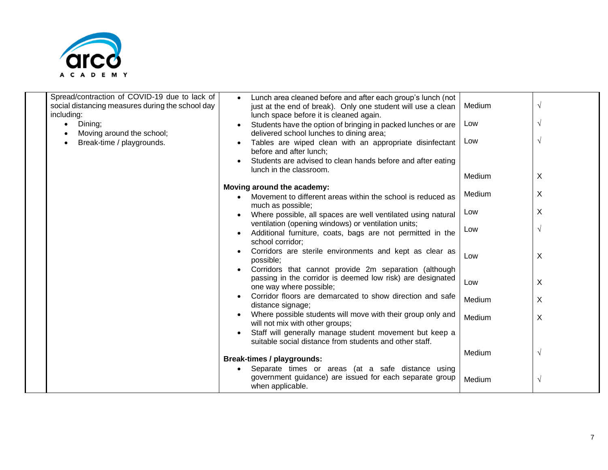

| Spread/contraction of COVID-19 due to lack of<br>social distancing measures during the school day<br>including:<br>Dining; | Lunch area cleaned before and after each group's lunch (not<br>$\bullet$<br>just at the end of break). Only one student will use a clean<br>lunch space before it is cleaned again.<br>Students have the option of bringing in packed lunches or are | Medium<br>Low | V<br>V     |
|----------------------------------------------------------------------------------------------------------------------------|------------------------------------------------------------------------------------------------------------------------------------------------------------------------------------------------------------------------------------------------------|---------------|------------|
| Moving around the school;<br>Break-time / playgrounds.                                                                     | delivered school lunches to dining area;<br>Tables are wiped clean with an appropriate disinfectant<br>$\bullet$<br>before and after lunch;<br>Students are advised to clean hands before and after eating                                           | Low           | V          |
|                                                                                                                            | lunch in the classroom.                                                                                                                                                                                                                              | Medium        | X          |
|                                                                                                                            | Moving around the academy:<br>Movement to different areas within the school is reduced as                                                                                                                                                            | Medium        | X          |
|                                                                                                                            | much as possible;<br>Where possible, all spaces are well ventilated using natural                                                                                                                                                                    | Low           | Χ          |
|                                                                                                                            | ventilation (opening windows) or ventilation units;<br>Additional furniture, coats, bags are not permitted in the                                                                                                                                    | Low           | $\sqrt{ }$ |
|                                                                                                                            | school corridor;<br>Corridors are sterile environments and kept as clear as<br>possible;                                                                                                                                                             | Low           | X          |
|                                                                                                                            | Corridors that cannot provide 2m separation (although<br>passing in the corridor is deemed low risk) are designated<br>one way where possible;                                                                                                       | Low           | X          |
|                                                                                                                            | Corridor floors are demarcated to show direction and safe<br>distance signage;                                                                                                                                                                       | Medium        | X          |
|                                                                                                                            | Where possible students will move with their group only and<br>will not mix with other groups;                                                                                                                                                       | Medium        | X          |
|                                                                                                                            | Staff will generally manage student movement but keep a<br>suitable social distance from students and other staff.                                                                                                                                   |               |            |
|                                                                                                                            | <b>Break-times / playgrounds:</b>                                                                                                                                                                                                                    | Medium        | $\sqrt{}$  |
|                                                                                                                            | Separate times or areas (at a safe distance using<br>government guidance) are issued for each separate group<br>when applicable.                                                                                                                     | Medium        | $\sqrt{}$  |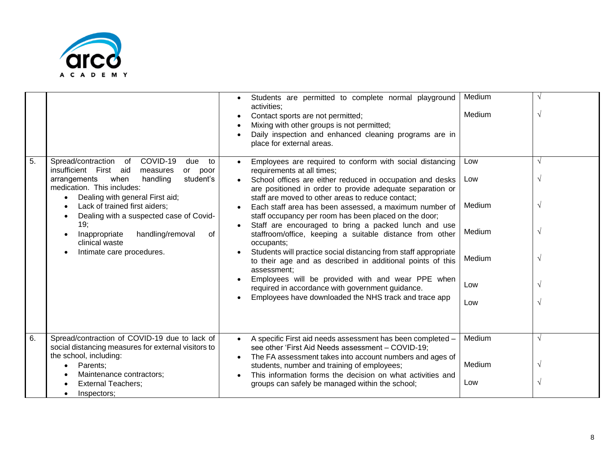

| 5. | Spread/contraction<br>COVID-19<br>of<br>due<br>to                                                                                                                                                                                                                                                                                                  | Students are permitted to complete normal playground<br>activities;<br>Contact sports are not permitted;<br>Mixing with other groups is not permitted;<br>Daily inspection and enhanced cleaning programs are in<br>place for external areas.<br>Employees are required to conform with social distancing<br>$\bullet$                                                                                                                                                                                                                                                                                                                                                                                                                                                           | Medium<br>Medium<br>Low                         | $\sqrt{ }$<br>$\gamma$                                         |
|----|----------------------------------------------------------------------------------------------------------------------------------------------------------------------------------------------------------------------------------------------------------------------------------------------------------------------------------------------------|----------------------------------------------------------------------------------------------------------------------------------------------------------------------------------------------------------------------------------------------------------------------------------------------------------------------------------------------------------------------------------------------------------------------------------------------------------------------------------------------------------------------------------------------------------------------------------------------------------------------------------------------------------------------------------------------------------------------------------------------------------------------------------|-------------------------------------------------|----------------------------------------------------------------|
|    | insufficient First<br>aid<br>measures<br>poor<br>or<br>student's<br>arrangements<br>when<br>handling<br>medication. This includes:<br>Dealing with general First aid;<br>Lack of trained first aiders;<br>Dealing with a suspected case of Covid-<br>19;<br>handling/removal<br>Inappropriate<br>of<br>clinical waste<br>Intimate care procedures. | requirements at all times;<br>School offices are either reduced in occupation and desks<br>are positioned in order to provide adequate separation or<br>staff are moved to other areas to reduce contact;<br>Each staff area has been assessed, a maximum number of<br>staff occupancy per room has been placed on the door;<br>Staff are encouraged to bring a packed lunch and use<br>staffroom/office, keeping a suitable distance from other<br>occupants;<br>Students will practice social distancing from staff appropriate<br>to their age and as described in additional points of this<br>assessment;<br>Employees will be provided with and wear PPE when<br>required in accordance with government guidance.<br>Employees have downloaded the NHS track and trace app | Low<br>Medium<br>Medium<br>Medium<br>Low<br>Low | $\sqrt{ }$<br>$\sqrt{ }$<br>$\sqrt{ }$<br>$\sqrt{ }$<br>V<br>N |
| 6. | Spread/contraction of COVID-19 due to lack of<br>social distancing measures for external visitors to<br>the school, including:<br>Parents;<br>Maintenance contractors;<br><b>External Teachers;</b><br>Inspectors;                                                                                                                                 | A specific First aid needs assessment has been completed -<br>$\bullet$<br>see other 'First Aid Needs assessment - COVID-19;<br>The FA assessment takes into account numbers and ages of<br>students, number and training of employees;<br>This information forms the decision on what activities and<br>groups can safely be managed within the school;                                                                                                                                                                                                                                                                                                                                                                                                                         | Medium<br>Medium<br>Low                         | $\sqrt{ }$<br>$\sqrt{ }$<br>$\sqrt{ }$                         |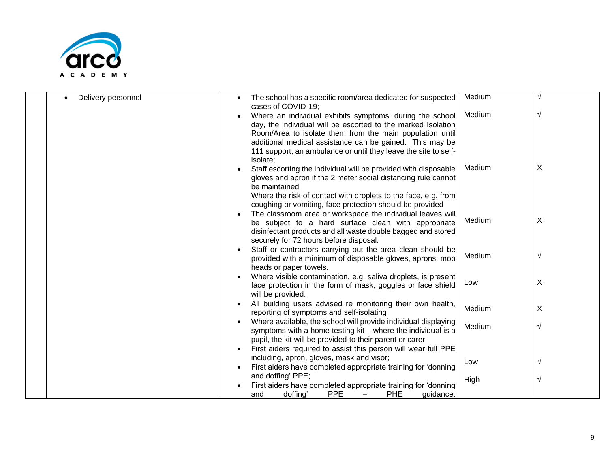

| Delivery personnel<br>$\bullet$ | The school has a specific room/area dedicated for suspected<br>cases of COVID-19;                                                                                                                       | Medium |            |
|---------------------------------|---------------------------------------------------------------------------------------------------------------------------------------------------------------------------------------------------------|--------|------------|
|                                 | Where an individual exhibits symptoms' during the school<br>$\bullet$<br>day, the individual will be escorted to the marked Isolation<br>Room/Area to isolate them from the main population until       | Medium | V          |
|                                 | additional medical assistance can be gained. This may be<br>111 support, an ambulance or until they leave the site to self-<br>isolate;                                                                 |        |            |
|                                 | Staff escorting the individual will be provided with disposable<br>gloves and apron if the 2 meter social distancing rule cannot<br>be maintained                                                       | Medium | X          |
|                                 | Where the risk of contact with droplets to the face, e.g. from<br>coughing or vomiting, face protection should be provided<br>The classroom area or workspace the individual leaves will                |        |            |
|                                 | be subject to a hard surface clean with appropriate<br>disinfectant products and all waste double bagged and stored<br>securely for 72 hours before disposal.                                           | Medium | X          |
|                                 | Staff or contractors carrying out the area clean should be<br>provided with a minimum of disposable gloves, aprons, mop<br>heads or paper towels.                                                       | Medium | $\sqrt{}$  |
|                                 | Where visible contamination, e.g. saliva droplets, is present<br>face protection in the form of mask, goggles or face shield<br>will be provided.                                                       | Low    | X          |
|                                 | All building users advised re monitoring their own health,<br>reporting of symptoms and self-isolating                                                                                                  | Medium | X          |
|                                 | Where available, the school will provide individual displaying<br>$\bullet$<br>symptoms with a home testing kit - where the individual is a<br>pupil, the kit will be provided to their parent or carer | Medium | $\sqrt{}$  |
|                                 | First aiders required to assist this person will wear full PPE                                                                                                                                          |        |            |
|                                 | including, apron, gloves, mask and visor;<br>First aiders have completed appropriate training for 'donning                                                                                              | Low    | V          |
|                                 | and doffing' PPE;<br>First aiders have completed appropriate training for 'donning                                                                                                                      | High   | $\sqrt{ }$ |
|                                 | <b>PPE</b><br>doffing'<br><b>PHE</b><br>quidance:<br>and                                                                                                                                                |        |            |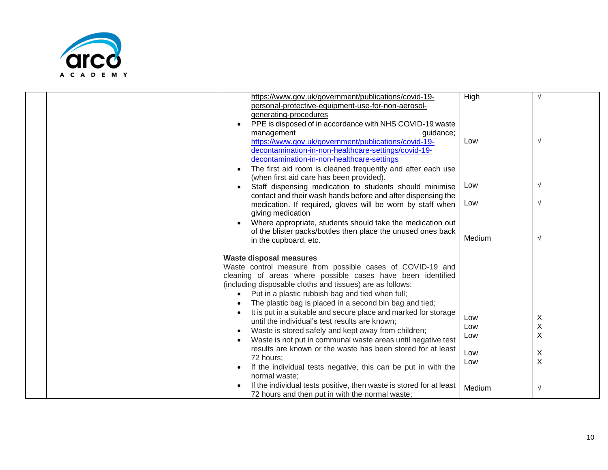

|  |           | https://www.gov.uk/government/publications/covid-19-<br>personal-protective-equipment-use-for-non-aerosol-<br>generating-procedures<br>PPE is disposed of in accordance with NHS COVID-19 waste<br>management<br>guidance;<br>https://www.gov.uk/government/publications/covid-19-<br>decontamination-in-non-healthcare-settings/covid-19-<br>decontamination-in-non-healthcare-settings<br>The first aid room is cleaned frequently and after each use<br>(when first aid care has been provided).                                                                                                                                                                                                                                              | High<br>Low                     | V                           |
|--|-----------|--------------------------------------------------------------------------------------------------------------------------------------------------------------------------------------------------------------------------------------------------------------------------------------------------------------------------------------------------------------------------------------------------------------------------------------------------------------------------------------------------------------------------------------------------------------------------------------------------------------------------------------------------------------------------------------------------------------------------------------------------|---------------------------------|-----------------------------|
|  |           | Staff dispensing medication to students should minimise<br>contact and their wash hands before and after dispensing the<br>medication. If required, gloves will be worn by staff when                                                                                                                                                                                                                                                                                                                                                                                                                                                                                                                                                            | Low<br>Low                      | V<br>$\sqrt{ }$             |
|  |           | giving medication<br>Where appropriate, students should take the medication out<br>of the blister packs/bottles then place the unused ones back<br>in the cupboard, etc.                                                                                                                                                                                                                                                                                                                                                                                                                                                                                                                                                                         | Medium                          | $\sqrt{}$                   |
|  | $\bullet$ | <b>Waste disposal measures</b><br>Waste control measure from possible cases of COVID-19 and<br>cleaning of areas where possible cases have been identified<br>(including disposable cloths and tissues) are as follows:<br>Put in a plastic rubbish bag and tied when full;<br>The plastic bag is placed in a second bin bag and tied;<br>It is put in a suitable and secure place and marked for storage<br>until the individual's test results are known;<br>Waste is stored safely and kept away from children;<br>Waste is not put in communal waste areas until negative test<br>results are known or the waste has been stored for at least<br>72 hours;<br>If the individual tests negative, this can be put in with the<br>normal waste; | Low<br>Low<br>Low<br>Low<br>Low | X<br>$\sf X$<br>X<br>Χ<br>X |
|  |           | If the individual tests positive, then waste is stored for at least<br>72 hours and then put in with the normal waste;                                                                                                                                                                                                                                                                                                                                                                                                                                                                                                                                                                                                                           | Medium                          | V                           |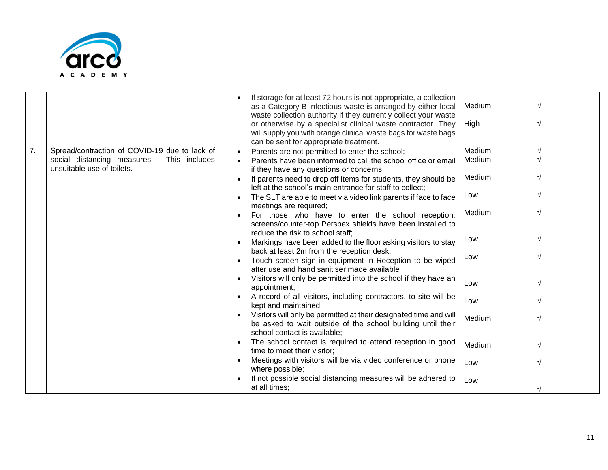

|                  |                                                                                                                             | If storage for at least 72 hours is not appropriate, a collection<br>as a Category B infectious waste is arranged by either local<br>waste collection authority if they currently collect your waste<br>or otherwise by a specialist clinical waste contractor. They<br>will supply you with orange clinical waste bags for waste bags<br>can be sent for appropriate treatment. | Medium<br>High   |  |
|------------------|-----------------------------------------------------------------------------------------------------------------------------|----------------------------------------------------------------------------------------------------------------------------------------------------------------------------------------------------------------------------------------------------------------------------------------------------------------------------------------------------------------------------------|------------------|--|
| $\overline{7}$ . | Spread/contraction of COVID-19 due to lack of<br>social distancing measures.<br>This includes<br>unsuitable use of toilets. | Parents are not permitted to enter the school;<br>Parents have been informed to call the school office or email<br>if they have any questions or concerns;                                                                                                                                                                                                                       | Medium<br>Medium |  |
|                  |                                                                                                                             | If parents need to drop off items for students, they should be<br>left at the school's main entrance for staff to collect;                                                                                                                                                                                                                                                       | Medium           |  |
|                  |                                                                                                                             | The SLT are able to meet via video link parents if face to face                                                                                                                                                                                                                                                                                                                  | Low              |  |
|                  |                                                                                                                             | meetings are required;<br>For those who have to enter the school reception,<br>screens/counter-top Perspex shields have been installed to                                                                                                                                                                                                                                        | Medium           |  |
|                  |                                                                                                                             | reduce the risk to school staff;<br>Markings have been added to the floor asking visitors to stay                                                                                                                                                                                                                                                                                | Low              |  |
|                  |                                                                                                                             | back at least 2m from the reception desk;<br>Touch screen sign in equipment in Reception to be wiped<br>after use and hand sanitiser made available                                                                                                                                                                                                                              | Low              |  |
|                  |                                                                                                                             | Visitors will only be permitted into the school if they have an<br>appointment;                                                                                                                                                                                                                                                                                                  | Low              |  |
|                  |                                                                                                                             | A record of all visitors, including contractors, to site will be<br>kept and maintained;                                                                                                                                                                                                                                                                                         | Low              |  |
|                  |                                                                                                                             | Visitors will only be permitted at their designated time and will<br>be asked to wait outside of the school building until their<br>school contact is available;                                                                                                                                                                                                                 | Medium           |  |
|                  |                                                                                                                             | The school contact is required to attend reception in good<br>time to meet their visitor;                                                                                                                                                                                                                                                                                        | Medium           |  |
|                  |                                                                                                                             | Meetings with visitors will be via video conference or phone<br>where possible;                                                                                                                                                                                                                                                                                                  | Low              |  |
|                  |                                                                                                                             | If not possible social distancing measures will be adhered to<br>at all times;                                                                                                                                                                                                                                                                                                   | Low              |  |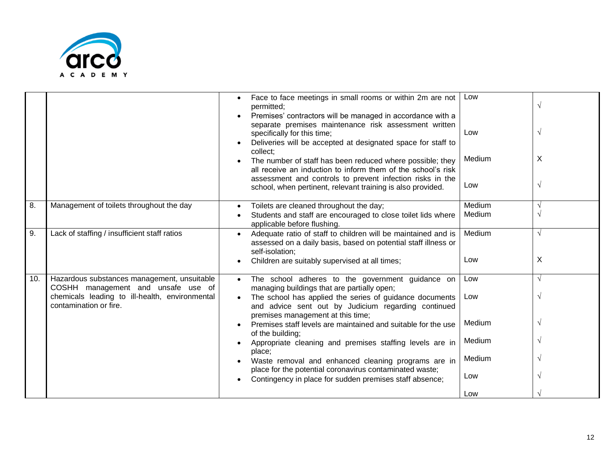

|     |                                                                                   | Face to face meetings in small rooms or within 2m are not<br>permitted;<br>Premises' contractors will be managed in accordance with a<br>separate premises maintenance risk assessment written<br>specifically for this time;<br>Deliveries will be accepted at designated space for staff to<br>collect;<br>The number of staff has been reduced where possible; they<br>all receive an induction to inform them of the school's risk<br>assessment and controls to prevent infection risks in the<br>school, when pertinent, relevant training is also provided. | Low<br>Low<br>Medium<br>Low | $\sqrt{ }$<br>$\sqrt{ }$<br>X<br>$\sqrt{ }$ |
|-----|-----------------------------------------------------------------------------------|--------------------------------------------------------------------------------------------------------------------------------------------------------------------------------------------------------------------------------------------------------------------------------------------------------------------------------------------------------------------------------------------------------------------------------------------------------------------------------------------------------------------------------------------------------------------|-----------------------------|---------------------------------------------|
| 8.  | Management of toilets throughout the day                                          | Toilets are cleaned throughout the day;<br>Students and staff are encouraged to close toilet lids where<br>applicable before flushing.                                                                                                                                                                                                                                                                                                                                                                                                                             | Medium<br>Medium            | $\sqrt{ }$<br>V                             |
| 9.  | Lack of staffing / insufficient staff ratios                                      | Adequate ratio of staff to children will be maintained and is<br>assessed on a daily basis, based on potential staff illness or<br>self-isolation;<br>Children are suitably supervised at all times;                                                                                                                                                                                                                                                                                                                                                               | Medium<br>Low               | $\sqrt{ }$<br>X                             |
| 10. | Hazardous substances management, unsuitable<br>COSHH management and unsafe use of | The school adheres to the government guidance on<br>managing buildings that are partially open;                                                                                                                                                                                                                                                                                                                                                                                                                                                                    | Low                         | $\sqrt{ }$                                  |
|     | chemicals leading to ill-health, environmental<br>contamination or fire.          | The school has applied the series of guidance documents<br>and advice sent out by Judicium regarding continued<br>premises management at this time;                                                                                                                                                                                                                                                                                                                                                                                                                | Low                         | $\sqrt{ }$                                  |
|     |                                                                                   | Premises staff levels are maintained and suitable for the use<br>of the building;                                                                                                                                                                                                                                                                                                                                                                                                                                                                                  | Medium                      | V                                           |
|     |                                                                                   | Appropriate cleaning and premises staffing levels are in<br>place;                                                                                                                                                                                                                                                                                                                                                                                                                                                                                                 | Medium                      | $\sqrt{ }$                                  |
|     |                                                                                   | Waste removal and enhanced cleaning programs are in                                                                                                                                                                                                                                                                                                                                                                                                                                                                                                                | Medium                      |                                             |
|     |                                                                                   | place for the potential coronavirus contaminated waste;<br>Contingency in place for sudden premises staff absence;                                                                                                                                                                                                                                                                                                                                                                                                                                                 | Low                         | V                                           |
|     |                                                                                   |                                                                                                                                                                                                                                                                                                                                                                                                                                                                                                                                                                    | Low                         |                                             |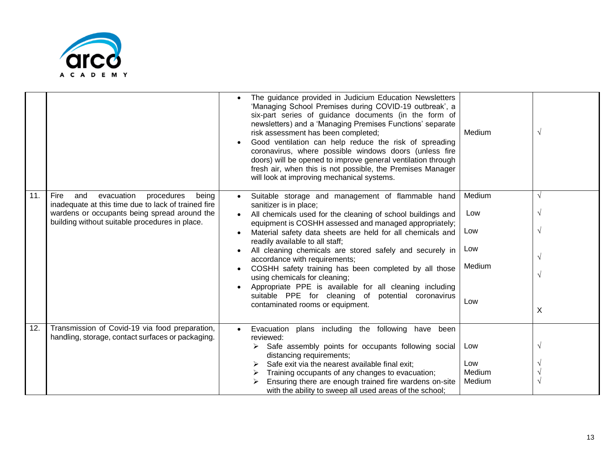

|     |                                                                                                         | The guidance provided in Judicium Education Newsletters<br>'Managing School Premises during COVID-19 outbreak', a<br>six-part series of guidance documents (in the form of<br>newsletters) and a 'Managing Premises Functions' separate<br>risk assessment has been completed;<br>Good ventilation can help reduce the risk of spreading<br>coronavirus, where possible windows doors (unless fire<br>doors) will be opened to improve general ventilation through<br>fresh air, when this is not possible, the Premises Manager<br>will look at improving mechanical systems. | Medium | $\sqrt{ }$ |
|-----|---------------------------------------------------------------------------------------------------------|--------------------------------------------------------------------------------------------------------------------------------------------------------------------------------------------------------------------------------------------------------------------------------------------------------------------------------------------------------------------------------------------------------------------------------------------------------------------------------------------------------------------------------------------------------------------------------|--------|------------|
| 11. | evacuation<br>procedures<br>Fire<br>and<br>being<br>inadequate at this time due to lack of trained fire | Suitable storage and management of flammable hand<br>sanitizer is in place;                                                                                                                                                                                                                                                                                                                                                                                                                                                                                                    | Medium | $\sqrt{ }$ |
|     | wardens or occupants being spread around the<br>building without suitable procedures in place.          | All chemicals used for the cleaning of school buildings and                                                                                                                                                                                                                                                                                                                                                                                                                                                                                                                    | Low    | $\sqrt{}$  |
|     |                                                                                                         | equipment is COSHH assessed and managed appropriately;<br>Material safety data sheets are held for all chemicals and<br>readily available to all staff;                                                                                                                                                                                                                                                                                                                                                                                                                        | Low    | $\sqrt{ }$ |
|     |                                                                                                         | All cleaning chemicals are stored safely and securely in<br>accordance with requirements;                                                                                                                                                                                                                                                                                                                                                                                                                                                                                      | Low    | $\sqrt{ }$ |
|     |                                                                                                         | COSHH safety training has been completed by all those<br>using chemicals for cleaning;                                                                                                                                                                                                                                                                                                                                                                                                                                                                                         | Medium | $\sqrt{ }$ |
|     |                                                                                                         | Appropriate PPE is available for all cleaning including                                                                                                                                                                                                                                                                                                                                                                                                                                                                                                                        |        |            |
|     |                                                                                                         | suitable PPE for cleaning of<br>potential coronavirus<br>contaminated rooms or equipment.                                                                                                                                                                                                                                                                                                                                                                                                                                                                                      | Low    |            |
|     |                                                                                                         |                                                                                                                                                                                                                                                                                                                                                                                                                                                                                                                                                                                |        | X          |
| 12. | Transmission of Covid-19 via food preparation,                                                          | Evacuation plans including the following have been<br>$\bullet$                                                                                                                                                                                                                                                                                                                                                                                                                                                                                                                |        |            |
|     | handling, storage, contact surfaces or packaging.                                                       | reviewed:<br>Safe assembly points for occupants following social<br>➤<br>distancing requirements;                                                                                                                                                                                                                                                                                                                                                                                                                                                                              | Low    | $\sqrt{ }$ |
|     |                                                                                                         | Safe exit via the nearest available final exit;                                                                                                                                                                                                                                                                                                                                                                                                                                                                                                                                | Low    |            |
|     |                                                                                                         | Training occupants of any changes to evacuation;                                                                                                                                                                                                                                                                                                                                                                                                                                                                                                                               | Medium |            |
|     |                                                                                                         | Ensuring there are enough trained fire wardens on-site<br>with the ability to sweep all used areas of the school;                                                                                                                                                                                                                                                                                                                                                                                                                                                              | Medium | $\sqrt{ }$ |
|     |                                                                                                         |                                                                                                                                                                                                                                                                                                                                                                                                                                                                                                                                                                                |        |            |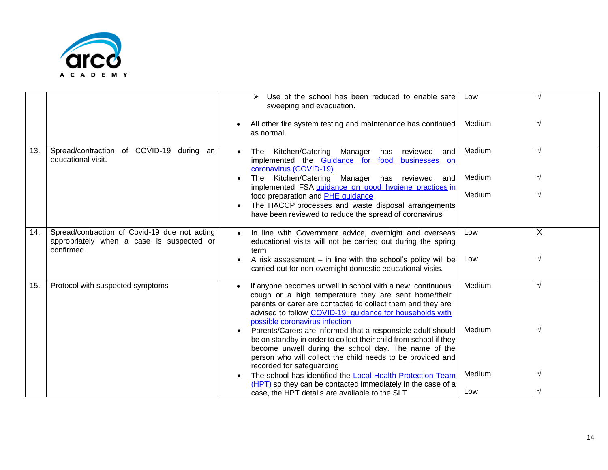

|     |                                                                                                          | Use of the school has been reduced to enable safe<br>sweeping and evacuation.<br>All other fire system testing and maintenance has continued<br>as normal.                                                                                                                                                                                                                                                         | Low<br>Medium    | $\sqrt{ }$               |
|-----|----------------------------------------------------------------------------------------------------------|--------------------------------------------------------------------------------------------------------------------------------------------------------------------------------------------------------------------------------------------------------------------------------------------------------------------------------------------------------------------------------------------------------------------|------------------|--------------------------|
| 13. | Spread/contraction of COVID-19 during an<br>educational visit.                                           | Kitchen/Catering Manager<br>The<br>has<br>reviewed<br>and<br>implemented the Guidance for food businesses on                                                                                                                                                                                                                                                                                                       | Medium           | $\sqrt{ }$               |
|     |                                                                                                          | coronavirus (COVID-19)<br>Kitchen/Catering Manager has reviewed<br>The<br>and<br>implemented FSA guidance on good hygiene practices in                                                                                                                                                                                                                                                                             | Medium<br>Medium | V<br>$\sqrt{ }$          |
|     |                                                                                                          | food preparation and PHE guidance<br>The HACCP processes and waste disposal arrangements<br>have been reviewed to reduce the spread of coronavirus                                                                                                                                                                                                                                                                 |                  |                          |
| 14. | Spread/contraction of Covid-19 due not acting<br>appropriately when a case is suspected or<br>confirmed. | In line with Government advice, overnight and overseas<br>$\bullet$<br>educational visits will not be carried out during the spring<br>term<br>A risk assessment $-$ in line with the school's policy will be<br>carried out for non-overnight domestic educational visits.                                                                                                                                        | Low<br>Low       | X<br>$\sqrt{ }$          |
| 15. | Protocol with suspected symptoms                                                                         | If anyone becomes unwell in school with a new, continuous<br>cough or a high temperature they are sent home/their<br>parents or carer are contacted to collect them and they are<br>advised to follow COVID-19: guidance for households with<br>possible coronavirus infection<br>Parents/Carers are informed that a responsible adult should<br>be on standby in order to collect their child from school if they | Medium<br>Medium | $\sqrt{ }$<br>$\sqrt{ }$ |
|     |                                                                                                          | become unwell during the school day. The name of the<br>person who will collect the child needs to be provided and<br>recorded for safeguarding<br>The school has identified the Local Health Protection Team<br>(HPT) so they can be contacted immediately in the case of a<br>case, the HPT details are available to the SLT                                                                                     | Medium<br>Low    | $\sqrt{ }$               |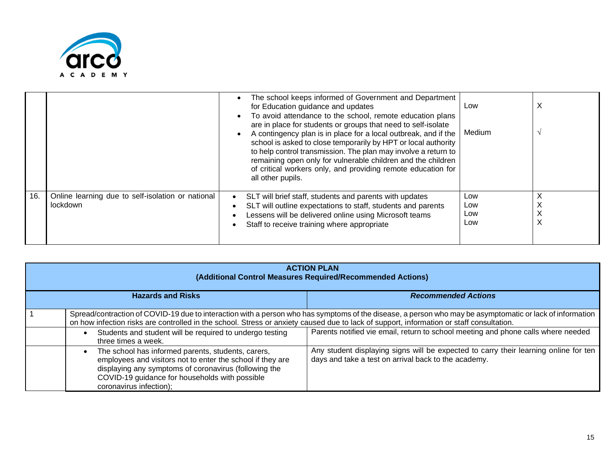

|     |                                                               | The school keeps informed of Government and Department<br>for Education guidance and updates<br>To avoid attendance to the school, remote education plans<br>are in place for students or groups that need to self-isolate<br>A contingency plan is in place for a local outbreak, and if the<br>school is asked to close temporarily by HPT or local authority<br>to help control transmission. The plan may involve a return to<br>remaining open only for vulnerable children and the children<br>of critical workers only, and providing remote education for<br>all other pupils. | Low<br>Medium            | X |
|-----|---------------------------------------------------------------|----------------------------------------------------------------------------------------------------------------------------------------------------------------------------------------------------------------------------------------------------------------------------------------------------------------------------------------------------------------------------------------------------------------------------------------------------------------------------------------------------------------------------------------------------------------------------------------|--------------------------|---|
| 16. | Online learning due to self-isolation or national<br>lockdown | SLT will brief staff, students and parents with updates<br>SLT will outline expectations to staff, students and parents<br>Lessens will be delivered online using Microsoft teams<br>Staff to receive training where appropriate                                                                                                                                                                                                                                                                                                                                                       | Low<br>Low<br>Low<br>Low |   |

| <b>ACTION PLAN</b><br>(Additional Control Measures Required/Recommended Actions) |                                                                                                                                                                                                                                                        |                                                                                                                                                          |  |
|----------------------------------------------------------------------------------|--------------------------------------------------------------------------------------------------------------------------------------------------------------------------------------------------------------------------------------------------------|----------------------------------------------------------------------------------------------------------------------------------------------------------|--|
|                                                                                  | <b>Hazards and Risks</b><br><b>Recommended Actions</b>                                                                                                                                                                                                 |                                                                                                                                                          |  |
|                                                                                  | on how infection risks are controlled in the school. Stress or anxiety caused due to lack of support, information or staff consultation.                                                                                                               | Spread/contraction of COVID-19 due to interaction with a person who has symptoms of the disease, a person who may be asymptomatic or lack of information |  |
|                                                                                  | Students and student will be required to undergo testing<br>three times a week.                                                                                                                                                                        | Parents notified vie email, return to school meeting and phone calls where needed                                                                        |  |
|                                                                                  | The school has informed parents, students, carers,<br>employees and visitors not to enter the school if they are<br>displaying any symptoms of coronavirus (following the<br>COVID-19 guidance for households with possible<br>coronavirus infection); | Any student displaying signs will be expected to carry their learning online for ten<br>days and take a test on arrival back to the academy.             |  |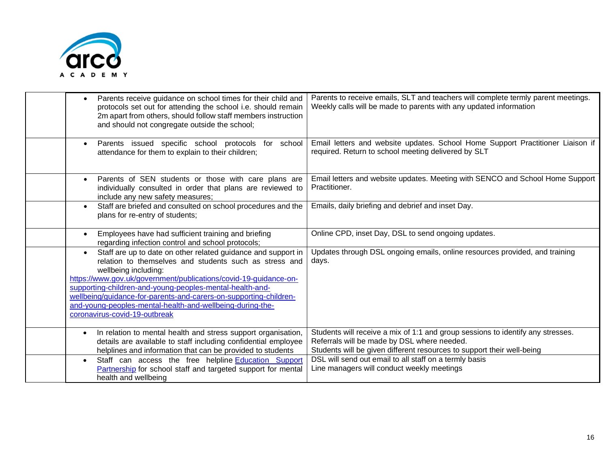

| Parents receive guidance on school times for their child and<br>protocols set out for attending the school i.e. should remain<br>2m apart from others, should follow staff members instruction<br>and should not congregate outside the school;                                                                                                                                                                                                                 | Parents to receive emails, SLT and teachers will complete termly parent meetings.<br>Weekly calls will be made to parents with any updated information                                                   |
|-----------------------------------------------------------------------------------------------------------------------------------------------------------------------------------------------------------------------------------------------------------------------------------------------------------------------------------------------------------------------------------------------------------------------------------------------------------------|----------------------------------------------------------------------------------------------------------------------------------------------------------------------------------------------------------|
| for school<br>Parents issued specific school protocols<br>attendance for them to explain to their children;                                                                                                                                                                                                                                                                                                                                                     | Email letters and website updates. School Home Support Practitioner Liaison if<br>required. Return to school meeting delivered by SLT                                                                    |
| Parents of SEN students or those with care plans are<br>individually consulted in order that plans are reviewed to<br>include any new safety measures;                                                                                                                                                                                                                                                                                                          | Email letters and website updates. Meeting with SENCO and School Home Support<br>Practitioner.                                                                                                           |
| Staff are briefed and consulted on school procedures and the<br>$\bullet$<br>plans for re-entry of students;                                                                                                                                                                                                                                                                                                                                                    | Emails, daily briefing and debrief and inset Day.                                                                                                                                                        |
| Employees have had sufficient training and briefing<br>regarding infection control and school protocols;                                                                                                                                                                                                                                                                                                                                                        | Online CPD, inset Day, DSL to send ongoing updates.                                                                                                                                                      |
| Staff are up to date on other related guidance and support in<br>$\bullet$<br>relation to themselves and students such as stress and<br>wellbeing including:<br>https://www.gov.uk/government/publications/covid-19-guidance-on-<br>supporting-children-and-young-peoples-mental-health-and-<br>wellbeing/guidance-for-parents-and-carers-on-supporting-children-<br>and-young-peoples-mental-health-and-wellbeing-during-the-<br>coronavirus-covid-19-outbreak | Updates through DSL ongoing emails, online resources provided, and training<br>days.                                                                                                                     |
| In relation to mental health and stress support organisation,<br>details are available to staff including confidential employee<br>helplines and information that can be provided to students                                                                                                                                                                                                                                                                   | Students will receive a mix of 1:1 and group sessions to identify any stresses.<br>Referrals will be made by DSL where needed.<br>Students will be given different resources to support their well-being |
| Staff can access the free helpline Education Support<br>Partnership for school staff and targeted support for mental<br>health and wellbeing                                                                                                                                                                                                                                                                                                                    | DSL will send out email to all staff on a termly basis<br>Line managers will conduct weekly meetings                                                                                                     |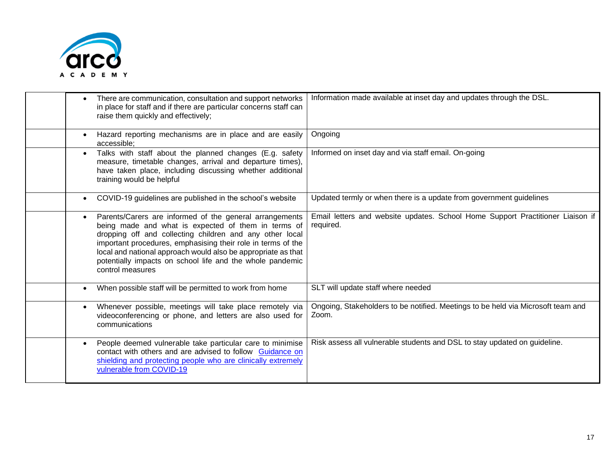

| There are communication, consultation and support networks<br>in place for staff and if there are particular concerns staff can<br>raise them quickly and effectively;                                                                                                                                                                                                                       | Information made available at inset day and updates through the DSL.                        |
|----------------------------------------------------------------------------------------------------------------------------------------------------------------------------------------------------------------------------------------------------------------------------------------------------------------------------------------------------------------------------------------------|---------------------------------------------------------------------------------------------|
| Hazard reporting mechanisms are in place and are easily<br>accessible;                                                                                                                                                                                                                                                                                                                       | Ongoing                                                                                     |
| Talks with staff about the planned changes (E.g. safety<br>measure, timetable changes, arrival and departure times),<br>have taken place, including discussing whether additional<br>training would be helpful                                                                                                                                                                               | Informed on inset day and via staff email. On-going                                         |
| COVID-19 guidelines are published in the school's website                                                                                                                                                                                                                                                                                                                                    | Updated termly or when there is a update from government guidelines                         |
| Parents/Carers are informed of the general arrangements<br>being made and what is expected of them in terms of<br>dropping off and collecting children and any other local<br>important procedures, emphasising their role in terms of the<br>local and national approach would also be appropriate as that<br>potentially impacts on school life and the whole pandemic<br>control measures | Email letters and website updates. School Home Support Practitioner Liaison if<br>required. |
| When possible staff will be permitted to work from home                                                                                                                                                                                                                                                                                                                                      | SLT will update staff where needed                                                          |
| Whenever possible, meetings will take place remotely via<br>videoconferencing or phone, and letters are also used for<br>communications                                                                                                                                                                                                                                                      | Ongoing, Stakeholders to be notified. Meetings to be held via Microsoft team and<br>Zoom.   |
| People deemed vulnerable take particular care to minimise<br>contact with others and are advised to follow Guidance on<br>shielding and protecting people who are clinically extremely<br>vulnerable from COVID-19                                                                                                                                                                           | Risk assess all vulnerable students and DSL to stay updated on guideline.                   |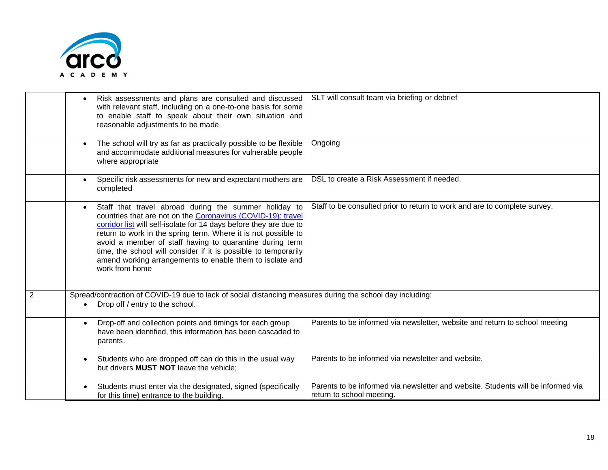

|                | Risk assessments and plans are consulted and discussed<br>with relevant staff, including on a one-to-one basis for some<br>to enable staff to speak about their own situation and<br>reasonable adjustments to be made                                                                                                                                                                                                                                                     | SLT will consult team via briefing or debrief                                                                 |
|----------------|----------------------------------------------------------------------------------------------------------------------------------------------------------------------------------------------------------------------------------------------------------------------------------------------------------------------------------------------------------------------------------------------------------------------------------------------------------------------------|---------------------------------------------------------------------------------------------------------------|
|                | The school will try as far as practically possible to be flexible<br>and accommodate additional measures for vulnerable people<br>where appropriate                                                                                                                                                                                                                                                                                                                        | Ongoing                                                                                                       |
|                | Specific risk assessments for new and expectant mothers are<br>completed                                                                                                                                                                                                                                                                                                                                                                                                   | DSL to create a Risk Assessment if needed.                                                                    |
|                | Staff that travel abroad during the summer holiday to<br>countries that are not on the Coronavirus (COVID-19): travel<br>corridor list will self-isolate for 14 days before they are due to<br>return to work in the spring term. Where it is not possible to<br>avoid a member of staff having to quarantine during term<br>time, the school will consider if it is possible to temporarily<br>amend working arrangements to enable them to isolate and<br>work from home | Staff to be consulted prior to return to work and are to complete survey.                                     |
| $\overline{2}$ | Spread/contraction of COVID-19 due to lack of social distancing measures during the school day including:<br>Drop off / entry to the school.                                                                                                                                                                                                                                                                                                                               |                                                                                                               |
|                | Drop-off and collection points and timings for each group<br>$\bullet$<br>have been identified, this information has been cascaded to<br>parents.                                                                                                                                                                                                                                                                                                                          | Parents to be informed via newsletter, website and return to school meeting                                   |
|                | Students who are dropped off can do this in the usual way<br>but drivers <b>MUST NOT</b> leave the vehicle;                                                                                                                                                                                                                                                                                                                                                                | Parents to be informed via newsletter and website.                                                            |
|                | Students must enter via the designated, signed (specifically<br>for this time) entrance to the building.                                                                                                                                                                                                                                                                                                                                                                   | Parents to be informed via newsletter and website. Students will be informed via<br>return to school meeting. |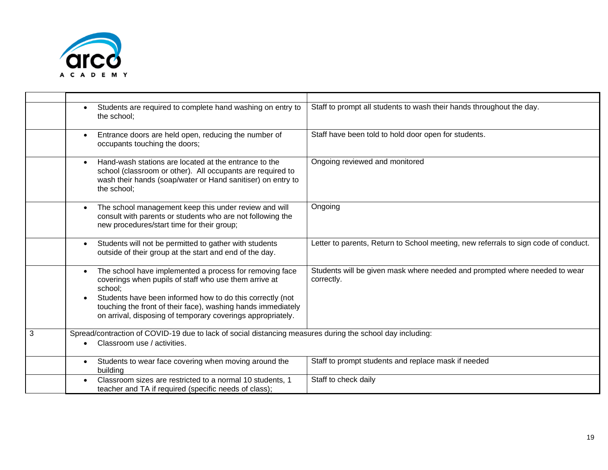

|   | Students are required to complete hand washing on entry to<br>the school:                                                                                                                                                                                                                                                            | Staff to prompt all students to wash their hands throughout the day.                     |
|---|--------------------------------------------------------------------------------------------------------------------------------------------------------------------------------------------------------------------------------------------------------------------------------------------------------------------------------------|------------------------------------------------------------------------------------------|
|   | Entrance doors are held open, reducing the number of<br>$\bullet$<br>occupants touching the doors;                                                                                                                                                                                                                                   | Staff have been told to hold door open for students.                                     |
|   | Hand-wash stations are located at the entrance to the<br>$\bullet$<br>school (classroom or other). All occupants are required to<br>wash their hands (soap/water or Hand sanitiser) on entry to<br>the school;                                                                                                                       | Ongoing reviewed and monitored                                                           |
|   | The school management keep this under review and will<br>consult with parents or students who are not following the<br>new procedures/start time for their group;                                                                                                                                                                    | Ongoing                                                                                  |
|   | Students will not be permitted to gather with students<br>$\bullet$<br>outside of their group at the start and end of the day.                                                                                                                                                                                                       | Letter to parents, Return to School meeting, new referrals to sign code of conduct.      |
|   | The school have implemented a process for removing face<br>$\bullet$<br>coverings when pupils of staff who use them arrive at<br>school;<br>Students have been informed how to do this correctly (not<br>touching the front of their face), washing hands immediately<br>on arrival, disposing of temporary coverings appropriately. | Students will be given mask where needed and prompted where needed to wear<br>correctly. |
| 3 | Spread/contraction of COVID-19 due to lack of social distancing measures during the school day including:<br>Classroom use / activities.                                                                                                                                                                                             |                                                                                          |
|   | Students to wear face covering when moving around the<br>$\bullet$<br>building                                                                                                                                                                                                                                                       | Staff to prompt students and replace mask if needed                                      |
|   | Classroom sizes are restricted to a normal 10 students, 1<br>teacher and TA if required (specific needs of class);                                                                                                                                                                                                                   | Staff to check daily                                                                     |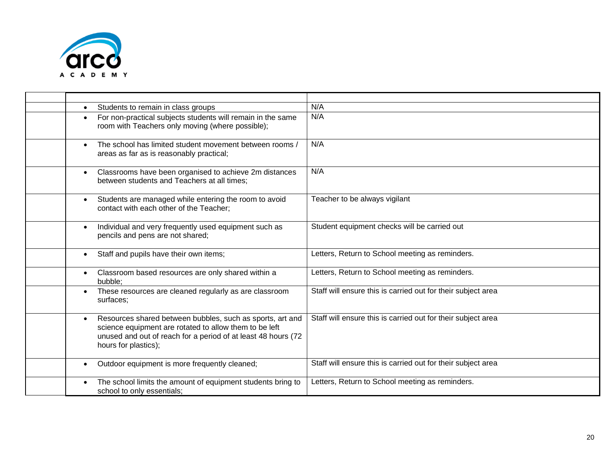

| Students to remain in class groups                                                                                                                                                                           | N/A                                                          |
|--------------------------------------------------------------------------------------------------------------------------------------------------------------------------------------------------------------|--------------------------------------------------------------|
| For non-practical subjects students will remain in the same<br>room with Teachers only moving (where possible);                                                                                              | N/A                                                          |
| The school has limited student movement between rooms /<br>areas as far as is reasonably practical;                                                                                                          | N/A                                                          |
| Classrooms have been organised to achieve 2m distances<br>$\bullet$<br>between students and Teachers at all times;                                                                                           | N/A                                                          |
| Students are managed while entering the room to avoid<br>$\bullet$<br>contact with each other of the Teacher;                                                                                                | Teacher to be always vigilant                                |
| Individual and very frequently used equipment such as<br>$\bullet$<br>pencils and pens are not shared;                                                                                                       | Student equipment checks will be carried out                 |
| Staff and pupils have their own items;                                                                                                                                                                       | Letters, Return to School meeting as reminders.              |
| Classroom based resources are only shared within a<br>bubble:                                                                                                                                                | Letters, Return to School meeting as reminders.              |
| These resources are cleaned regularly as are classroom<br>surfaces;                                                                                                                                          | Staff will ensure this is carried out for their subject area |
| Resources shared between bubbles, such as sports, art and<br>science equipment are rotated to allow them to be left<br>unused and out of reach for a period of at least 48 hours (72<br>hours for plastics); | Staff will ensure this is carried out for their subject area |
| Outdoor equipment is more frequently cleaned;                                                                                                                                                                | Staff will ensure this is carried out for their subject area |
| The school limits the amount of equipment students bring to<br>school to only essentials;                                                                                                                    | Letters, Return to School meeting as reminders.              |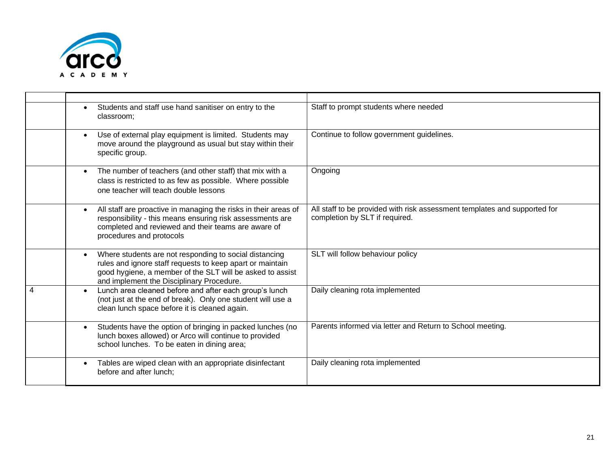

|   | Students and staff use hand sanitiser on entry to the<br>classroom;                                                                                                                                                           | Staff to prompt students where needed                                                                       |
|---|-------------------------------------------------------------------------------------------------------------------------------------------------------------------------------------------------------------------------------|-------------------------------------------------------------------------------------------------------------|
|   | Use of external play equipment is limited. Students may<br>move around the playground as usual but stay within their<br>specific group.                                                                                       | Continue to follow government guidelines.                                                                   |
|   | The number of teachers (and other staff) that mix with a<br>$\bullet$<br>class is restricted to as few as possible. Where possible<br>one teacher will teach double lessons                                                   | Ongoing                                                                                                     |
|   | All staff are proactive in managing the risks in their areas of<br>responsibility - this means ensuring risk assessments are<br>completed and reviewed and their teams are aware of<br>procedures and protocols               | All staff to be provided with risk assessment templates and supported for<br>completion by SLT if required. |
|   | Where students are not responding to social distancing<br>rules and ignore staff requests to keep apart or maintain<br>good hygiene, a member of the SLT will be asked to assist<br>and implement the Disciplinary Procedure. | SLT will follow behaviour policy                                                                            |
| 4 | Lunch area cleaned before and after each group's lunch<br>(not just at the end of break). Only one student will use a<br>clean lunch space before it is cleaned again.                                                        | Daily cleaning rota implemented                                                                             |
|   | Students have the option of bringing in packed lunches (no<br>lunch boxes allowed) or Arco will continue to provided<br>school lunches. To be eaten in dining area;                                                           | Parents informed via letter and Return to School meeting.                                                   |
|   | Tables are wiped clean with an appropriate disinfectant<br>before and after lunch;                                                                                                                                            | Daily cleaning rota implemented                                                                             |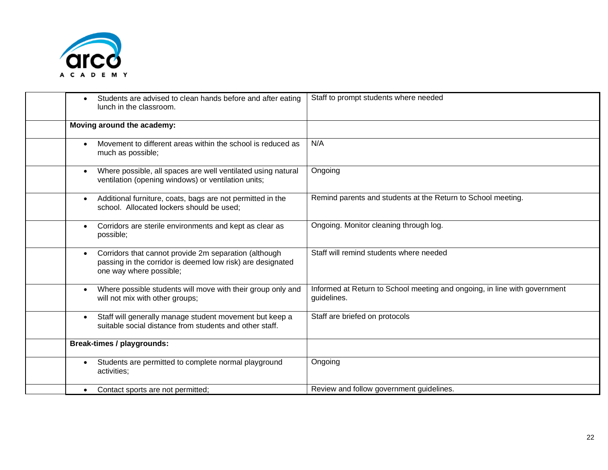

| Students are advised to clean hands before and after eating<br>lunch in the classroom.                                                         | Staff to prompt students where needed                                                    |
|------------------------------------------------------------------------------------------------------------------------------------------------|------------------------------------------------------------------------------------------|
| Moving around the academy:                                                                                                                     |                                                                                          |
| Movement to different areas within the school is reduced as<br>much as possible;                                                               | N/A                                                                                      |
| Where possible, all spaces are well ventilated using natural<br>ventilation (opening windows) or ventilation units;                            | Ongoing                                                                                  |
| Additional furniture, coats, bags are not permitted in the<br>$\bullet$<br>school. Allocated lockers should be used;                           | Remind parents and students at the Return to School meeting.                             |
| Corridors are sterile environments and kept as clear as<br>possible;                                                                           | Ongoing. Monitor cleaning through log.                                                   |
| Corridors that cannot provide 2m separation (although<br>passing in the corridor is deemed low risk) are designated<br>one way where possible; | Staff will remind students where needed                                                  |
| Where possible students will move with their group only and<br>will not mix with other groups;                                                 | Informed at Return to School meeting and ongoing, in line with government<br>guidelines. |
| Staff will generally manage student movement but keep a<br>$\bullet$<br>suitable social distance from students and other staff.                | Staff are briefed on protocols                                                           |
| <b>Break-times / playgrounds:</b>                                                                                                              |                                                                                          |
| Students are permitted to complete normal playground<br>activities;                                                                            | Ongoing                                                                                  |
| Contact sports are not permitted;                                                                                                              | Review and follow government guidelines.                                                 |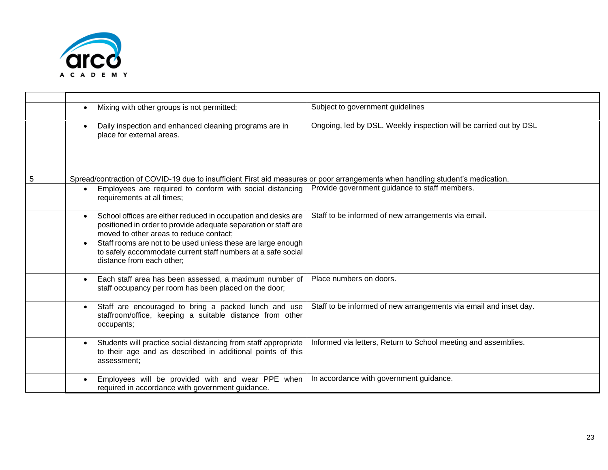

|   | Mixing with other groups is not permitted;                                                                                                                                                                                                                                                                                                            | Subject to government guidelines                                  |
|---|-------------------------------------------------------------------------------------------------------------------------------------------------------------------------------------------------------------------------------------------------------------------------------------------------------------------------------------------------------|-------------------------------------------------------------------|
|   | Daily inspection and enhanced cleaning programs are in<br>place for external areas.                                                                                                                                                                                                                                                                   | Ongoing, led by DSL. Weekly inspection will be carried out by DSL |
| 5 | Spread/contraction of COVID-19 due to insufficient First aid measures or poor arrangements when handling student's medication.                                                                                                                                                                                                                        |                                                                   |
|   | Employees are required to conform with social distancing<br>$\bullet$<br>requirements at all times;                                                                                                                                                                                                                                                   | Provide government guidance to staff members.                     |
|   | School offices are either reduced in occupation and desks are<br>$\bullet$<br>positioned in order to provide adequate separation or staff are<br>moved to other areas to reduce contact;<br>Staff rooms are not to be used unless these are large enough<br>to safely accommodate current staff numbers at a safe social<br>distance from each other; | Staff to be informed of new arrangements via email.               |
|   | Each staff area has been assessed, a maximum number of<br>$\bullet$<br>staff occupancy per room has been placed on the door;                                                                                                                                                                                                                          | Place numbers on doors.                                           |
|   | Staff are encouraged to bring a packed lunch and use<br>$\bullet$<br>staffroom/office, keeping a suitable distance from other<br>occupants;                                                                                                                                                                                                           | Staff to be informed of new arrangements via email and inset day. |
|   | Students will practice social distancing from staff appropriate<br>$\bullet$<br>to their age and as described in additional points of this<br>assessment:                                                                                                                                                                                             | Informed via letters, Return to School meeting and assemblies.    |
|   | Employees will be provided with and wear PPE when<br>required in accordance with government guidance.                                                                                                                                                                                                                                                 | In accordance with government guidance.                           |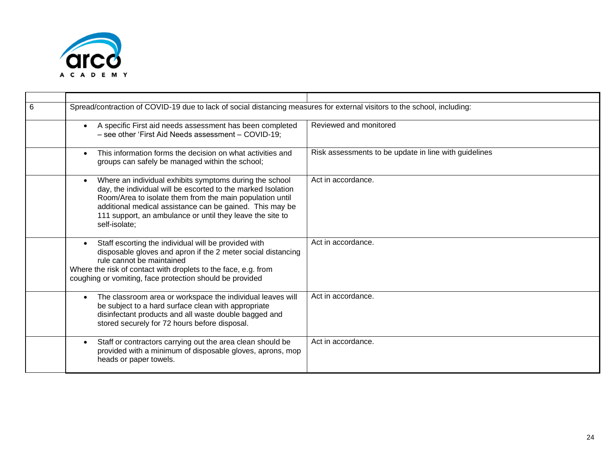

| 6 | Spread/contraction of COVID-19 due to lack of social distancing measures for external visitors to the school, including:                                                                                                                                                                                                      |                                                       |
|---|-------------------------------------------------------------------------------------------------------------------------------------------------------------------------------------------------------------------------------------------------------------------------------------------------------------------------------|-------------------------------------------------------|
|   | A specific First aid needs assessment has been completed<br>- see other 'First Aid Needs assessment - COVID-19;                                                                                                                                                                                                               | Reviewed and monitored                                |
|   | This information forms the decision on what activities and<br>groups can safely be managed within the school;                                                                                                                                                                                                                 | Risk assessments to be update in line with guidelines |
|   | Where an individual exhibits symptoms during the school<br>day, the individual will be escorted to the marked Isolation<br>Room/Area to isolate them from the main population until<br>additional medical assistance can be gained. This may be<br>111 support, an ambulance or until they leave the site to<br>self-isolate; | Act in accordance.                                    |
|   | Staff escorting the individual will be provided with<br>disposable gloves and apron if the 2 meter social distancing<br>rule cannot be maintained<br>Where the risk of contact with droplets to the face, e.g. from<br>coughing or vomiting, face protection should be provided                                               | Act in accordance.                                    |
|   | The classroom area or workspace the individual leaves will<br>be subject to a hard surface clean with appropriate<br>disinfectant products and all waste double bagged and<br>stored securely for 72 hours before disposal.                                                                                                   | Act in accordance.                                    |
|   | Staff or contractors carrying out the area clean should be<br>provided with a minimum of disposable gloves, aprons, mop<br>heads or paper towels.                                                                                                                                                                             | Act in accordance.                                    |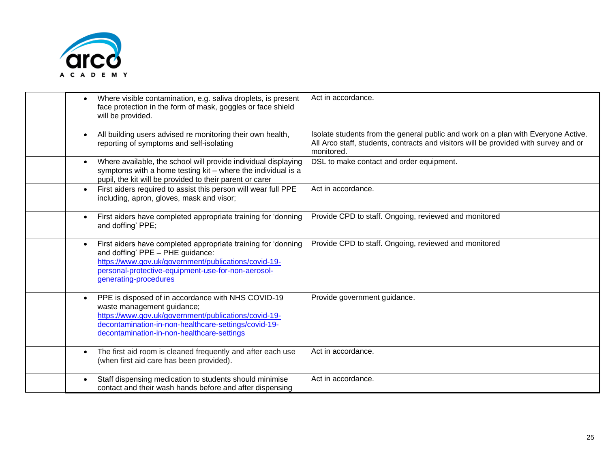

| Where visible contamination, e.g. saliva droplets, is present<br>face protection in the form of mask, goggles or face shield<br>will be provided.                                                                                              | Act in accordance.                                                                                                                                                                      |
|------------------------------------------------------------------------------------------------------------------------------------------------------------------------------------------------------------------------------------------------|-----------------------------------------------------------------------------------------------------------------------------------------------------------------------------------------|
| All building users advised re monitoring their own health,<br>reporting of symptoms and self-isolating                                                                                                                                         | Isolate students from the general public and work on a plan with Everyone Active.<br>All Arco staff, students, contracts and visitors will be provided with survey and or<br>monitored. |
| Where available, the school will provide individual displaying<br>symptoms with a home testing kit - where the individual is a<br>pupil, the kit will be provided to their parent or carer                                                     | DSL to make contact and order equipment.                                                                                                                                                |
| First aiders required to assist this person will wear full PPE<br>$\bullet$<br>including, apron, gloves, mask and visor;                                                                                                                       | Act in accordance.                                                                                                                                                                      |
| First aiders have completed appropriate training for 'donning<br>and doffing' PPE;                                                                                                                                                             | Provide CPD to staff. Ongoing, reviewed and monitored                                                                                                                                   |
| First aiders have completed appropriate training for 'donning<br>and doffing' PPE - PHE guidance:<br>https://www.gov.uk/government/publications/covid-19-<br>personal-protective-equipment-use-for-non-aerosol-<br>generating-procedures       | Provide CPD to staff. Ongoing, reviewed and monitored                                                                                                                                   |
| PPE is disposed of in accordance with NHS COVID-19<br>waste management guidance;<br>https://www.gov.uk/government/publications/covid-19-<br>decontamination-in-non-healthcare-settings/covid-19-<br>decontamination-in-non-healthcare-settings | Provide government guidance.                                                                                                                                                            |
| The first aid room is cleaned frequently and after each use<br>(when first aid care has been provided).                                                                                                                                        | Act in accordance.                                                                                                                                                                      |
| Staff dispensing medication to students should minimise<br>contact and their wash hands before and after dispensing                                                                                                                            | Act in accordance.                                                                                                                                                                      |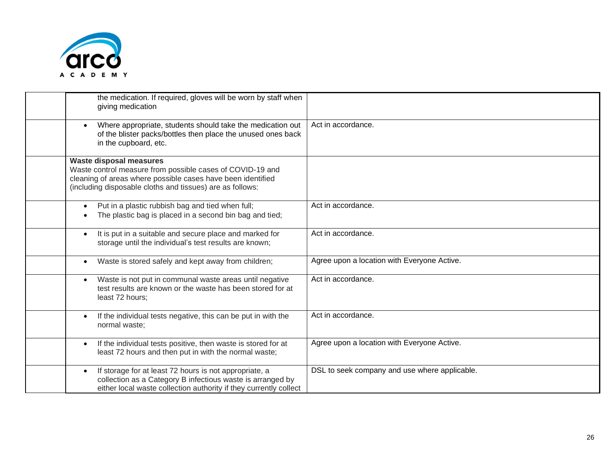

| the medication. If required, gloves will be worn by staff when<br>giving medication                                                                                                                                     |                                               |
|-------------------------------------------------------------------------------------------------------------------------------------------------------------------------------------------------------------------------|-----------------------------------------------|
| Where appropriate, students should take the medication out<br>$\bullet$<br>of the blister packs/bottles then place the unused ones back<br>in the cupboard, etc.                                                        | Act in accordance.                            |
| <b>Waste disposal measures</b><br>Waste control measure from possible cases of COVID-19 and<br>cleaning of areas where possible cases have been identified<br>(including disposable cloths and tissues) are as follows: |                                               |
| Put in a plastic rubbish bag and tied when full;<br>The plastic bag is placed in a second bin bag and tied;                                                                                                             | Act in accordance.                            |
| It is put in a suitable and secure place and marked for<br>$\bullet$<br>storage until the individual's test results are known;                                                                                          | Act in accordance.                            |
| Waste is stored safely and kept away from children;<br>$\bullet$                                                                                                                                                        | Agree upon a location with Everyone Active.   |
| Waste is not put in communal waste areas until negative<br>$\bullet$<br>test results are known or the waste has been stored for at<br>least 72 hours;                                                                   | Act in accordance.                            |
| If the individual tests negative, this can be put in with the<br>$\bullet$<br>normal waste;                                                                                                                             | Act in accordance.                            |
| If the individual tests positive, then waste is stored for at<br>$\bullet$<br>least 72 hours and then put in with the normal waste;                                                                                     | Agree upon a location with Everyone Active.   |
| If storage for at least 72 hours is not appropriate, a<br>$\bullet$<br>collection as a Category B infectious waste is arranged by<br>either local waste collection authority if they currently collect                  | DSL to seek company and use where applicable. |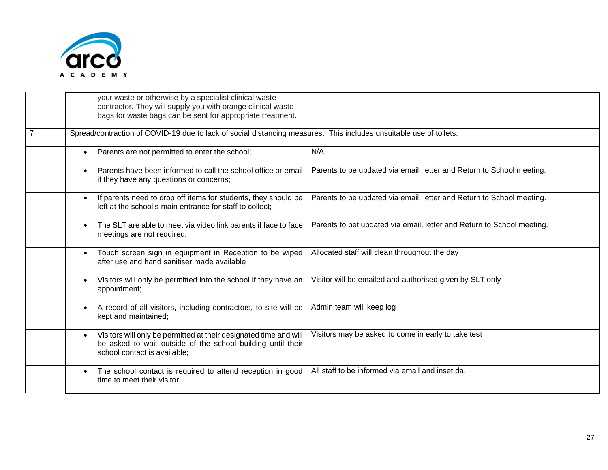

|                | your waste or otherwise by a specialist clinical waste<br>contractor. They will supply you with orange clinical waste<br>bags for waste bags can be sent for appropriate treatment. |                                                                        |
|----------------|-------------------------------------------------------------------------------------------------------------------------------------------------------------------------------------|------------------------------------------------------------------------|
| $\overline{7}$ | Spread/contraction of COVID-19 due to lack of social distancing measures. This includes unsuitable use of toilets.                                                                  |                                                                        |
|                | Parents are not permitted to enter the school;<br>$\bullet$                                                                                                                         | N/A                                                                    |
|                | Parents have been informed to call the school office or email<br>$\bullet$<br>if they have any questions or concerns;                                                               | Parents to be updated via email, letter and Return to School meeting.  |
|                | If parents need to drop off items for students, they should be<br>$\bullet$<br>left at the school's main entrance for staff to collect;                                             | Parents to be updated via email, letter and Return to School meeting.  |
|                | The SLT are able to meet via video link parents if face to face<br>$\bullet$<br>meetings are not required;                                                                          | Parents to bet updated via email, letter and Return to School meeting. |
|                | Touch screen sign in equipment in Reception to be wiped<br>after use and hand sanitiser made available                                                                              | Allocated staff will clean throughout the day                          |
|                | Visitors will only be permitted into the school if they have an<br>appointment;                                                                                                     | Visitor will be emailed and authorised given by SLT only               |
|                | A record of all visitors, including contractors, to site will be<br>$\bullet$<br>kept and maintained;                                                                               | Admin team will keep log                                               |
|                | Visitors will only be permitted at their designated time and will<br>$\bullet$<br>be asked to wait outside of the school building until their<br>school contact is available;       | Visitors may be asked to come in early to take test                    |
|                | The school contact is required to attend reception in good<br>time to meet their visitor;                                                                                           | All staff to be informed via email and inset da.                       |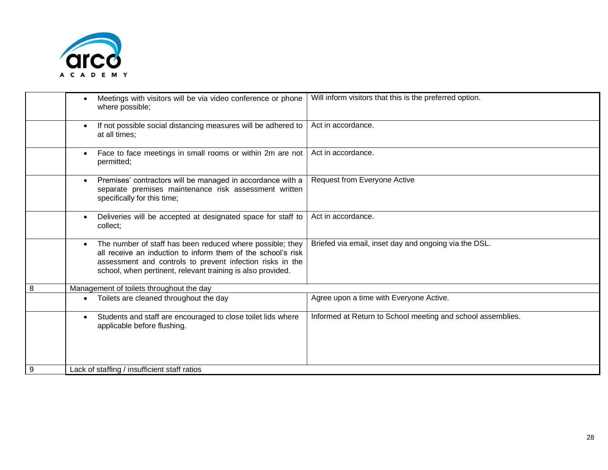

|   | Meetings with visitors will be via video conference or phone<br>where possible;                                                                                                                                                                                    | Will inform visitors that this is the preferred option.     |
|---|--------------------------------------------------------------------------------------------------------------------------------------------------------------------------------------------------------------------------------------------------------------------|-------------------------------------------------------------|
|   | If not possible social distancing measures will be adhered to<br>at all times;                                                                                                                                                                                     | Act in accordance.                                          |
|   | Face to face meetings in small rooms or within 2m are not<br>$\bullet$<br>permitted;                                                                                                                                                                               | Act in accordance.                                          |
|   | Premises' contractors will be managed in accordance with a<br>$\bullet$<br>separate premises maintenance risk assessment written<br>specifically for this time;                                                                                                    | Request from Everyone Active                                |
|   | Deliveries will be accepted at designated space for staff to<br>collect;                                                                                                                                                                                           | Act in accordance.                                          |
|   | The number of staff has been reduced where possible; they<br>$\bullet$<br>all receive an induction to inform them of the school's risk<br>assessment and controls to prevent infection risks in the<br>school, when pertinent, relevant training is also provided. | Briefed via email, inset day and ongoing via the DSL.       |
| 8 | Management of toilets throughout the day                                                                                                                                                                                                                           |                                                             |
|   | Toilets are cleaned throughout the day                                                                                                                                                                                                                             | Agree upon a time with Everyone Active.                     |
|   | Students and staff are encouraged to close toilet lids where<br>$\bullet$<br>applicable before flushing.                                                                                                                                                           | Informed at Return to School meeting and school assemblies. |
| 9 | Lack of staffing / insufficient staff ratios                                                                                                                                                                                                                       |                                                             |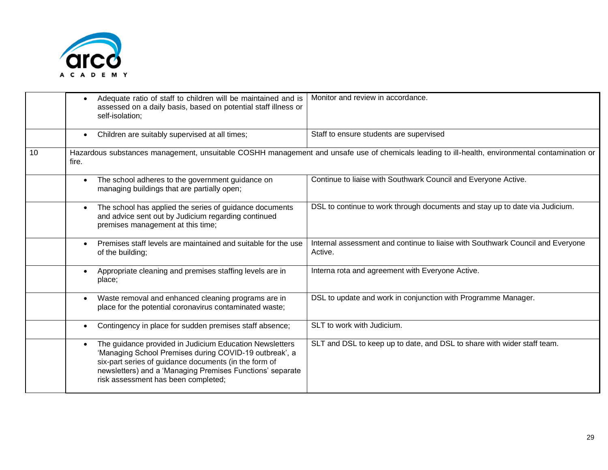

|    | Adequate ratio of staff to children will be maintained and is<br>assessed on a daily basis, based on potential staff illness or<br>self-isolation;                                                                                                                             | Monitor and review in accordance.                                                                                                              |
|----|--------------------------------------------------------------------------------------------------------------------------------------------------------------------------------------------------------------------------------------------------------------------------------|------------------------------------------------------------------------------------------------------------------------------------------------|
|    | Children are suitably supervised at all times;<br>$\bullet$                                                                                                                                                                                                                    | Staff to ensure students are supervised                                                                                                        |
| 10 | fire.                                                                                                                                                                                                                                                                          | Hazardous substances management, unsuitable COSHH management and unsafe use of chemicals leading to ill-health, environmental contamination or |
|    | The school adheres to the government guidance on<br>managing buildings that are partially open;                                                                                                                                                                                | Continue to liaise with Southwark Council and Everyone Active.                                                                                 |
|    | The school has applied the series of guidance documents<br>and advice sent out by Judicium regarding continued<br>premises management at this time;                                                                                                                            | DSL to continue to work through documents and stay up to date via Judicium.                                                                    |
|    | Premises staff levels are maintained and suitable for the use<br>$\bullet$<br>of the building;                                                                                                                                                                                 | Internal assessment and continue to liaise with Southwark Council and Everyone<br>Active.                                                      |
|    | Appropriate cleaning and premises staffing levels are in<br>$\bullet$<br>place;                                                                                                                                                                                                | Interna rota and agreement with Everyone Active.                                                                                               |
|    | Waste removal and enhanced cleaning programs are in<br>$\bullet$<br>place for the potential coronavirus contaminated waste;                                                                                                                                                    | DSL to update and work in conjunction with Programme Manager.                                                                                  |
|    | Contingency in place for sudden premises staff absence;                                                                                                                                                                                                                        | SLT to work with Judicium.                                                                                                                     |
|    | The guidance provided in Judicium Education Newsletters<br>'Managing School Premises during COVID-19 outbreak', a<br>six-part series of guidance documents (in the form of<br>newsletters) and a 'Managing Premises Functions' separate<br>risk assessment has been completed; | SLT and DSL to keep up to date, and DSL to share with wider staff team.                                                                        |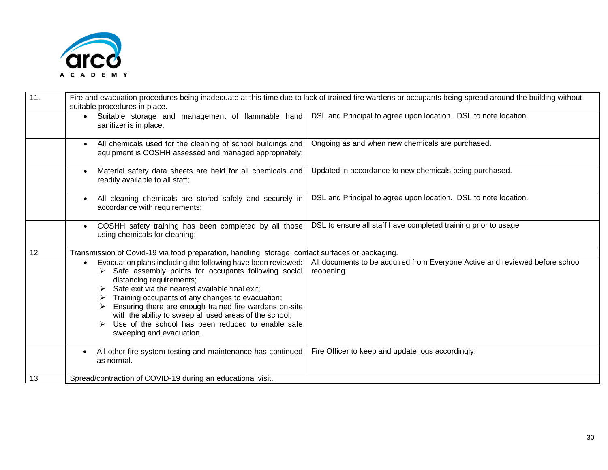

| 11. | Fire and evacuation procedures being inadequate at this time due to lack of trained fire wardens or occupants being spread around the building without<br>suitable procedures in place.                                                                                                                                                                                                                                                                                     |                                                                                            |
|-----|-----------------------------------------------------------------------------------------------------------------------------------------------------------------------------------------------------------------------------------------------------------------------------------------------------------------------------------------------------------------------------------------------------------------------------------------------------------------------------|--------------------------------------------------------------------------------------------|
|     | Suitable storage and management of flammable hand<br>$\bullet$<br>sanitizer is in place;                                                                                                                                                                                                                                                                                                                                                                                    | DSL and Principal to agree upon location. DSL to note location.                            |
|     | All chemicals used for the cleaning of school buildings and<br>equipment is COSHH assessed and managed appropriately;                                                                                                                                                                                                                                                                                                                                                       | Ongoing as and when new chemicals are purchased.                                           |
|     | Material safety data sheets are held for all chemicals and<br>readily available to all staff;                                                                                                                                                                                                                                                                                                                                                                               | Updated in accordance to new chemicals being purchased.                                    |
|     | All cleaning chemicals are stored safely and securely in<br>accordance with requirements;                                                                                                                                                                                                                                                                                                                                                                                   | DSL and Principal to agree upon location. DSL to note location.                            |
|     | COSHH safety training has been completed by all those<br>using chemicals for cleaning;                                                                                                                                                                                                                                                                                                                                                                                      | DSL to ensure all staff have completed training prior to usage                             |
| 12  | Transmission of Covid-19 via food preparation, handling, storage, contact surfaces or packaging.                                                                                                                                                                                                                                                                                                                                                                            |                                                                                            |
|     | Evacuation plans including the following have been reviewed:<br>$\bullet$<br>> Safe assembly points for occupants following social<br>distancing requirements;<br>Safe exit via the nearest available final exit;<br>Training occupants of any changes to evacuation;<br>Ensuring there are enough trained fire wardens on-site<br>with the ability to sweep all used areas of the school;<br>Use of the school has been reduced to enable safe<br>sweeping and evacuation. | All documents to be acquired from Everyone Active and reviewed before school<br>reopening. |
|     | All other fire system testing and maintenance has continued<br>as normal.                                                                                                                                                                                                                                                                                                                                                                                                   | Fire Officer to keep and update logs accordingly.                                          |
| 13  | Spread/contraction of COVID-19 during an educational visit.                                                                                                                                                                                                                                                                                                                                                                                                                 |                                                                                            |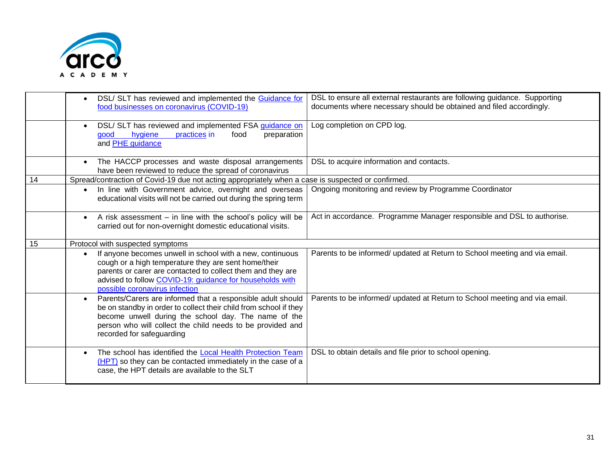

|    | DSL/ SLT has reviewed and implemented the Guidance for<br>food businesses on coronavirus (COVID-19)                                                                                                                                                                                         | DSL to ensure all external restaurants are following guidance. Supporting<br>documents where necessary should be obtained and filed accordingly. |
|----|---------------------------------------------------------------------------------------------------------------------------------------------------------------------------------------------------------------------------------------------------------------------------------------------|--------------------------------------------------------------------------------------------------------------------------------------------------|
|    | DSL/ SLT has reviewed and implemented FSA guidance on<br>practices in<br>hygiene<br>food<br>good<br>preparation<br>and <b>PHE</b> guidance                                                                                                                                                  | Log completion on CPD log.                                                                                                                       |
|    | The HACCP processes and waste disposal arrangements<br>have been reviewed to reduce the spread of coronavirus                                                                                                                                                                               | DSL to acquire information and contacts.                                                                                                         |
| 14 | Spread/contraction of Covid-19 due not acting appropriately when a case is suspected or confirmed.                                                                                                                                                                                          |                                                                                                                                                  |
|    | • In line with Government advice, overnight and overseas<br>educational visits will not be carried out during the spring term                                                                                                                                                               | Ongoing monitoring and review by Programme Coordinator                                                                                           |
|    | • A risk assessment - in line with the school's policy will be<br>carried out for non-overnight domestic educational visits.                                                                                                                                                                | Act in accordance. Programme Manager responsible and DSL to authorise.                                                                           |
| 15 | Protocol with suspected symptoms                                                                                                                                                                                                                                                            |                                                                                                                                                  |
|    | If anyone becomes unwell in school with a new, continuous<br>$\bullet$<br>cough or a high temperature they are sent home/their<br>parents or carer are contacted to collect them and they are<br>advised to follow COVID-19: guidance for households with<br>possible coronavirus infection | Parents to be informed/ updated at Return to School meeting and via email.                                                                       |
|    | Parents/Carers are informed that a responsible adult should<br>be on standby in order to collect their child from school if they<br>become unwell during the school day. The name of the<br>person who will collect the child needs to be provided and<br>recorded for safeguarding         | Parents to be informed/ updated at Return to School meeting and via email.                                                                       |
|    | The school has identified the Local Health Protection Team<br>(HPT) so they can be contacted immediately in the case of a<br>case, the HPT details are available to the SLT                                                                                                                 | DSL to obtain details and file prior to school opening.                                                                                          |